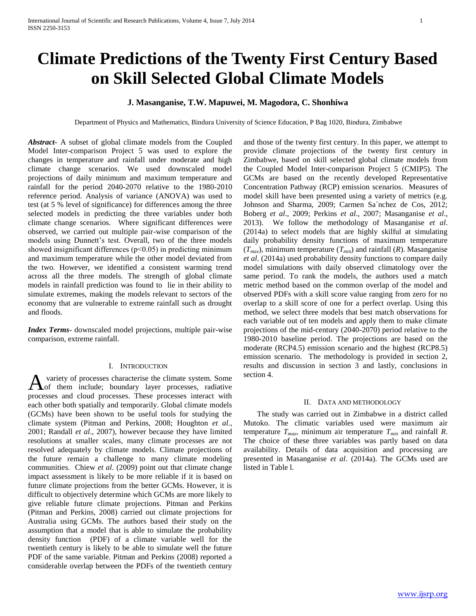# **Climate Predictions of the Twenty First Century Based on Skill Selected Global Climate Models**

## **J. Masanganise, T.W. Mapuwei, M. Magodora, C. Shonhiwa**

Department of Physics and Mathematics, Bindura University of Science Education, P Bag 1020, Bindura, Zimbabwe

*Abstract***-** A subset of global climate models from the Coupled Model Inter-comparison Project 5 was used to explore the changes in temperature and rainfall under moderate and high climate change scenarios. We used downscaled model projections of daily minimum and maximum temperature and rainfall for the period 2040-2070 relative to the 1980-2010 reference period. Analysis of variance (ANOVA) was used to test (at 5 % level of significance) for differences among the three selected models in predicting the three variables under both climate change scenarios. Where significant differences were observed, we carried out multiple pair-wise comparison of the models using Dunnett's test. Overall, two of the three models showed insignificant differences ( $p<0.05$ ) in predicting minimum and maximum temperature while the other model deviated from the two. However, we identified a consistent warming trend across all the three models. The strength of global climate models in rainfall prediction was found to lie in their ability to simulate extremes, making the models relevant to sectors of the economy that are vulnerable to extreme rainfall such as drought and floods.

*Index Terms*- downscaled model projections, multiple pair-wise comparison, extreme rainfall.

## I. INTRODUCTION

variety of processes characterise the climate system. Some A variety of processes characterise the climate system. Some of them include; boundary layer processes, radiative processes and cloud processes. These processes interact with each other both spatially and temporarily. Global climate models (GCMs) have been shown to be useful tools for studying the climate system (Pitman and Perkins, 2008; Houghton *et al*., 2001; Randall *et al*., 2007), however because they have limited resolutions at smaller scales, many climate processes are not resolved adequately by climate models. Climate projections of the future remain a challenge to many climate modeling communities. Chiew *et al*. (2009) point out that climate change impact assessment is likely to be more reliable if it is based on future climate projections from the better GCMs. However, it is difficult to objectively determine which GCMs are more likely to give reliable future climate projections. Pitman and Perkins (Pitman and Perkins, 2008) carried out climate projections for Australia using GCMs. The authors based their study on the assumption that a model that is able to simulate the probability density function (PDF) of a climate variable well for the twentieth century is likely to be able to simulate well the future PDF of the same variable. Pitman and Perkins (2008) reported a considerable overlap between the PDFs of the twentieth century

and those of the twenty first century. In this paper, we attempt to provide climate projections of the twenty first century in Zimbabwe, based on skill selected global climate models from the Coupled Model Inter-comparison Project 5 (CMIP5). The GCMs are based on the recently developed Representative Concentration Pathway (RCP) emission scenarios. Measures of model skill have been presented using a variety of metrics (e.g. Johnson and Sharma, 2009; Carmen Sa´nchez de Cos, 2012; Boberg *et al*., 2009; Perkins *et al*., 2007; Masanganise *et al*., 2013). We follow the methodology of Masanganise *et al*. (2014a) to select models that are highly skilful at simulating daily probability density functions of maximum temperature  $(T_{max})$ , minimum temperature  $(T_{min})$  and rainfall  $(R)$ . Masanganise *et al*. (2014a) used probability density functions to compare daily model simulations with daily observed climatology over the same period. To rank the models, the authors used a match metric method based on the common overlap of the model and observed PDFs with a skill score value ranging from zero for no overlap to a skill score of one for a perfect overlap. Using this method, we select three models that best match observations for each variable out of ten models and apply them to make climate projections of the mid-century (2040-2070) period relative to the 1980-2010 baseline period. The projections are based on the moderate (RCP4.5) emission scenario and the highest (RCP8.5) emission scenario. The methodology is provided in section 2, results and discussion in section 3 and lastly, conclusions in section 4.

## II. DATA AND METHODOLOGY

 The study was carried out in Zimbabwe in a district called Mutoko. The climatic variables used were maximum air temperature  $T_{max}$ , minimum air temperature  $T_{min}$  and rainfall *R*. The choice of these three variables was partly based on data availability. Details of data acquisition and processing are presented in Masanganise *et al*. (2014a). The GCMs used are listed in Table l.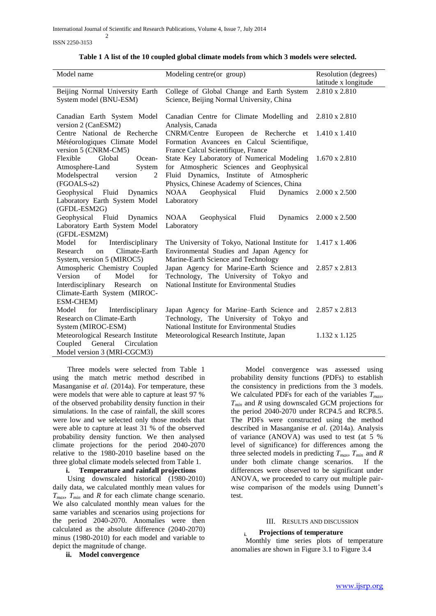ISSN 2250-3153

2

|  |  | Table 1 A list of the 10 coupled global climate models from which 3 models were selected. |
|--|--|-------------------------------------------------------------------------------------------|
|  |  |                                                                                           |

| Model name<br>Modeling centre(or group)<br>Resolution (degrees)<br>latitude x longitude<br>2.810 x 2.810<br>Beijing Normal University Earth<br>College of Global Change and Earth System<br>System model (BNU-ESM)<br>Science, Beijing Normal University, China<br>Canadian Earth System Model<br>Canadian Centre for Climate Modelling and<br>2.810 x 2.810<br>version 2 (CanESM2)<br>Analysis, Canada<br>Centre National de Recherche<br>CNRM/Centre Europeen de Recherche et<br>$1.410 \times 1.410$<br>Formation Avancees en Calcul Scientifique,<br>Météorologiques Climate Model<br>version 5 (CNRM-CM5)<br>France Calcul Scientifique, France<br>State Key Laboratory of Numerical Modeling<br>Flexible<br>Global<br>Ocean-<br>$1.670 \times 2.810$<br>for Atmospheric Sciences and Geophysical<br>Atmosphere-Land<br>System<br>Modelspectral<br>Fluid Dynamics, Institute of Atmospheric<br>version<br>$\overline{2}$<br>Physics, Chinese Academy of Sciences, China<br>(FGOALS-s2)<br>Geophysical Fluid<br><b>NOAA</b><br>Geophysical<br>Dynamics<br>Fluid<br>Dynamics<br>$2.000 \times 2.500$<br>Laboratory Earth System Model<br>Laboratory<br>(GFDL-ESM2G)<br>Geophysical Fluid<br>Fluid<br>Dynamics<br><b>NOAA</b><br>Geophysical<br>Dynamics<br>$2.000 \times 2.500$<br>Laboratory Earth System Model<br>Laboratory<br>(GFDL-ESM2M)<br>Model<br>for<br>Interdisciplinary<br>The University of Tokyo, National Institute for<br>1.417 x 1.406<br>Environmental Studies and Japan Agency for<br>Climate-Earth<br>Research<br>$_{\rm on}$<br>System, version 5 (MIROC5)<br>Marine-Earth Science and Technology<br>Atmospheric Chemistry Coupled<br>Japan Agency for Marine-Earth Science and<br>2.857 x 2.813<br>of<br>Technology, The University of Tokyo and<br>for<br>Version<br>Model |                                     |                                              |  |
|------------------------------------------------------------------------------------------------------------------------------------------------------------------------------------------------------------------------------------------------------------------------------------------------------------------------------------------------------------------------------------------------------------------------------------------------------------------------------------------------------------------------------------------------------------------------------------------------------------------------------------------------------------------------------------------------------------------------------------------------------------------------------------------------------------------------------------------------------------------------------------------------------------------------------------------------------------------------------------------------------------------------------------------------------------------------------------------------------------------------------------------------------------------------------------------------------------------------------------------------------------------------------------------------------------------------------------------------------------------------------------------------------------------------------------------------------------------------------------------------------------------------------------------------------------------------------------------------------------------------------------------------------------------------------------------------------------------------------------------------------------------------------------------------------|-------------------------------------|----------------------------------------------|--|
|                                                                                                                                                                                                                                                                                                                                                                                                                                                                                                                                                                                                                                                                                                                                                                                                                                                                                                                                                                                                                                                                                                                                                                                                                                                                                                                                                                                                                                                                                                                                                                                                                                                                                                                                                                                                      |                                     |                                              |  |
|                                                                                                                                                                                                                                                                                                                                                                                                                                                                                                                                                                                                                                                                                                                                                                                                                                                                                                                                                                                                                                                                                                                                                                                                                                                                                                                                                                                                                                                                                                                                                                                                                                                                                                                                                                                                      |                                     |                                              |  |
|                                                                                                                                                                                                                                                                                                                                                                                                                                                                                                                                                                                                                                                                                                                                                                                                                                                                                                                                                                                                                                                                                                                                                                                                                                                                                                                                                                                                                                                                                                                                                                                                                                                                                                                                                                                                      |                                     |                                              |  |
|                                                                                                                                                                                                                                                                                                                                                                                                                                                                                                                                                                                                                                                                                                                                                                                                                                                                                                                                                                                                                                                                                                                                                                                                                                                                                                                                                                                                                                                                                                                                                                                                                                                                                                                                                                                                      |                                     |                                              |  |
|                                                                                                                                                                                                                                                                                                                                                                                                                                                                                                                                                                                                                                                                                                                                                                                                                                                                                                                                                                                                                                                                                                                                                                                                                                                                                                                                                                                                                                                                                                                                                                                                                                                                                                                                                                                                      |                                     |                                              |  |
|                                                                                                                                                                                                                                                                                                                                                                                                                                                                                                                                                                                                                                                                                                                                                                                                                                                                                                                                                                                                                                                                                                                                                                                                                                                                                                                                                                                                                                                                                                                                                                                                                                                                                                                                                                                                      |                                     |                                              |  |
|                                                                                                                                                                                                                                                                                                                                                                                                                                                                                                                                                                                                                                                                                                                                                                                                                                                                                                                                                                                                                                                                                                                                                                                                                                                                                                                                                                                                                                                                                                                                                                                                                                                                                                                                                                                                      |                                     |                                              |  |
|                                                                                                                                                                                                                                                                                                                                                                                                                                                                                                                                                                                                                                                                                                                                                                                                                                                                                                                                                                                                                                                                                                                                                                                                                                                                                                                                                                                                                                                                                                                                                                                                                                                                                                                                                                                                      |                                     |                                              |  |
|                                                                                                                                                                                                                                                                                                                                                                                                                                                                                                                                                                                                                                                                                                                                                                                                                                                                                                                                                                                                                                                                                                                                                                                                                                                                                                                                                                                                                                                                                                                                                                                                                                                                                                                                                                                                      |                                     |                                              |  |
|                                                                                                                                                                                                                                                                                                                                                                                                                                                                                                                                                                                                                                                                                                                                                                                                                                                                                                                                                                                                                                                                                                                                                                                                                                                                                                                                                                                                                                                                                                                                                                                                                                                                                                                                                                                                      |                                     |                                              |  |
|                                                                                                                                                                                                                                                                                                                                                                                                                                                                                                                                                                                                                                                                                                                                                                                                                                                                                                                                                                                                                                                                                                                                                                                                                                                                                                                                                                                                                                                                                                                                                                                                                                                                                                                                                                                                      |                                     |                                              |  |
|                                                                                                                                                                                                                                                                                                                                                                                                                                                                                                                                                                                                                                                                                                                                                                                                                                                                                                                                                                                                                                                                                                                                                                                                                                                                                                                                                                                                                                                                                                                                                                                                                                                                                                                                                                                                      |                                     |                                              |  |
|                                                                                                                                                                                                                                                                                                                                                                                                                                                                                                                                                                                                                                                                                                                                                                                                                                                                                                                                                                                                                                                                                                                                                                                                                                                                                                                                                                                                                                                                                                                                                                                                                                                                                                                                                                                                      |                                     |                                              |  |
|                                                                                                                                                                                                                                                                                                                                                                                                                                                                                                                                                                                                                                                                                                                                                                                                                                                                                                                                                                                                                                                                                                                                                                                                                                                                                                                                                                                                                                                                                                                                                                                                                                                                                                                                                                                                      |                                     |                                              |  |
|                                                                                                                                                                                                                                                                                                                                                                                                                                                                                                                                                                                                                                                                                                                                                                                                                                                                                                                                                                                                                                                                                                                                                                                                                                                                                                                                                                                                                                                                                                                                                                                                                                                                                                                                                                                                      |                                     |                                              |  |
|                                                                                                                                                                                                                                                                                                                                                                                                                                                                                                                                                                                                                                                                                                                                                                                                                                                                                                                                                                                                                                                                                                                                                                                                                                                                                                                                                                                                                                                                                                                                                                                                                                                                                                                                                                                                      |                                     |                                              |  |
|                                                                                                                                                                                                                                                                                                                                                                                                                                                                                                                                                                                                                                                                                                                                                                                                                                                                                                                                                                                                                                                                                                                                                                                                                                                                                                                                                                                                                                                                                                                                                                                                                                                                                                                                                                                                      |                                     |                                              |  |
|                                                                                                                                                                                                                                                                                                                                                                                                                                                                                                                                                                                                                                                                                                                                                                                                                                                                                                                                                                                                                                                                                                                                                                                                                                                                                                                                                                                                                                                                                                                                                                                                                                                                                                                                                                                                      |                                     |                                              |  |
|                                                                                                                                                                                                                                                                                                                                                                                                                                                                                                                                                                                                                                                                                                                                                                                                                                                                                                                                                                                                                                                                                                                                                                                                                                                                                                                                                                                                                                                                                                                                                                                                                                                                                                                                                                                                      |                                     |                                              |  |
|                                                                                                                                                                                                                                                                                                                                                                                                                                                                                                                                                                                                                                                                                                                                                                                                                                                                                                                                                                                                                                                                                                                                                                                                                                                                                                                                                                                                                                                                                                                                                                                                                                                                                                                                                                                                      |                                     |                                              |  |
|                                                                                                                                                                                                                                                                                                                                                                                                                                                                                                                                                                                                                                                                                                                                                                                                                                                                                                                                                                                                                                                                                                                                                                                                                                                                                                                                                                                                                                                                                                                                                                                                                                                                                                                                                                                                      |                                     |                                              |  |
|                                                                                                                                                                                                                                                                                                                                                                                                                                                                                                                                                                                                                                                                                                                                                                                                                                                                                                                                                                                                                                                                                                                                                                                                                                                                                                                                                                                                                                                                                                                                                                                                                                                                                                                                                                                                      |                                     |                                              |  |
|                                                                                                                                                                                                                                                                                                                                                                                                                                                                                                                                                                                                                                                                                                                                                                                                                                                                                                                                                                                                                                                                                                                                                                                                                                                                                                                                                                                                                                                                                                                                                                                                                                                                                                                                                                                                      |                                     |                                              |  |
|                                                                                                                                                                                                                                                                                                                                                                                                                                                                                                                                                                                                                                                                                                                                                                                                                                                                                                                                                                                                                                                                                                                                                                                                                                                                                                                                                                                                                                                                                                                                                                                                                                                                                                                                                                                                      |                                     |                                              |  |
|                                                                                                                                                                                                                                                                                                                                                                                                                                                                                                                                                                                                                                                                                                                                                                                                                                                                                                                                                                                                                                                                                                                                                                                                                                                                                                                                                                                                                                                                                                                                                                                                                                                                                                                                                                                                      |                                     |                                              |  |
|                                                                                                                                                                                                                                                                                                                                                                                                                                                                                                                                                                                                                                                                                                                                                                                                                                                                                                                                                                                                                                                                                                                                                                                                                                                                                                                                                                                                                                                                                                                                                                                                                                                                                                                                                                                                      | Interdisciplinary<br>Research<br>on | National Institute for Environmental Studies |  |
| Climate-Earth System (MIROC-                                                                                                                                                                                                                                                                                                                                                                                                                                                                                                                                                                                                                                                                                                                                                                                                                                                                                                                                                                                                                                                                                                                                                                                                                                                                                                                                                                                                                                                                                                                                                                                                                                                                                                                                                                         |                                     |                                              |  |
| ESM-CHEM)                                                                                                                                                                                                                                                                                                                                                                                                                                                                                                                                                                                                                                                                                                                                                                                                                                                                                                                                                                                                                                                                                                                                                                                                                                                                                                                                                                                                                                                                                                                                                                                                                                                                                                                                                                                            |                                     |                                              |  |
| Model<br>Interdisciplinary<br>Japan Agency for Marine–Earth Science and<br>2.857 x 2.813<br>for                                                                                                                                                                                                                                                                                                                                                                                                                                                                                                                                                                                                                                                                                                                                                                                                                                                                                                                                                                                                                                                                                                                                                                                                                                                                                                                                                                                                                                                                                                                                                                                                                                                                                                      |                                     |                                              |  |
| Research on Climate-Earth<br>Technology, The University of Tokyo and                                                                                                                                                                                                                                                                                                                                                                                                                                                                                                                                                                                                                                                                                                                                                                                                                                                                                                                                                                                                                                                                                                                                                                                                                                                                                                                                                                                                                                                                                                                                                                                                                                                                                                                                 |                                     |                                              |  |
| National Institute for Environmental Studies<br>System (MIROC-ESM)                                                                                                                                                                                                                                                                                                                                                                                                                                                                                                                                                                                                                                                                                                                                                                                                                                                                                                                                                                                                                                                                                                                                                                                                                                                                                                                                                                                                                                                                                                                                                                                                                                                                                                                                   |                                     |                                              |  |
| Meteorological Research Institute<br>Meteorological Research Institute, Japan<br>1.132 x 1.125                                                                                                                                                                                                                                                                                                                                                                                                                                                                                                                                                                                                                                                                                                                                                                                                                                                                                                                                                                                                                                                                                                                                                                                                                                                                                                                                                                                                                                                                                                                                                                                                                                                                                                       |                                     |                                              |  |
| General<br>Coupled<br>Circulation                                                                                                                                                                                                                                                                                                                                                                                                                                                                                                                                                                                                                                                                                                                                                                                                                                                                                                                                                                                                                                                                                                                                                                                                                                                                                                                                                                                                                                                                                                                                                                                                                                                                                                                                                                    |                                     |                                              |  |
| Model version 3 (MRI-CGCM3)                                                                                                                                                                                                                                                                                                                                                                                                                                                                                                                                                                                                                                                                                                                                                                                                                                                                                                                                                                                                                                                                                                                                                                                                                                                                                                                                                                                                                                                                                                                                                                                                                                                                                                                                                                          |                                     |                                              |  |

 Three models were selected from Table 1 using the match metric method described in Masanganise *et al*. (2014a). For temperature, these were models that were able to capture at least 97 % of the observed probability density function in their simulations. In the case of rainfall, the skill scores were low and we selected only those models that were able to capture at least 31 % of the observed probability density function. We then analysed climate projections for the period 2040-2070 relative to the 1980-2010 baseline based on the three global climate models selected from Table 1.

## **i. Temperature and rainfall projections**

 Using downscaled historical (1980-2010) daily data, we calculated monthly mean values for *Tmax*, *Tmin* and *R* for each climate change scenario. We also calculated monthly mean values for the same variables and scenarios using projections for the period 2040-2070. Anomalies were then calculated as the absolute difference (2040-2070) minus (1980-2010) for each model and variable to depict the magnitude of change.

**ii. Model convergence**

 Model convergence was assessed using probability density functions (PDFs) to establish the consistency in predictions from the 3 models. We calculated PDFs for each of the variables *Tmax*, *Tmin* and *R* using downscaled GCM projections for the period 2040-2070 under RCP4.5 and RCP8.5. The PDFs were constructed using the method described in Masanganise *et al*. (2014a). Analysis of variance (ANOVA) was used to test (at 5 % level of significance) for differences among the three selected models in predicting  $T_{max}$ ,  $T_{min}$  and  $R$ under both climate change scenarios. If the differences were observed to be significant under ANOVA, we proceeded to carry out multiple pairwise comparison of the models using Dunnett's test.

## III. RESULTS AND DISCUSSION

## **i. Projections of temperature**

 Monthly time series plots of temperature anomalies are shown in Figure 3.1 to Figure 3.4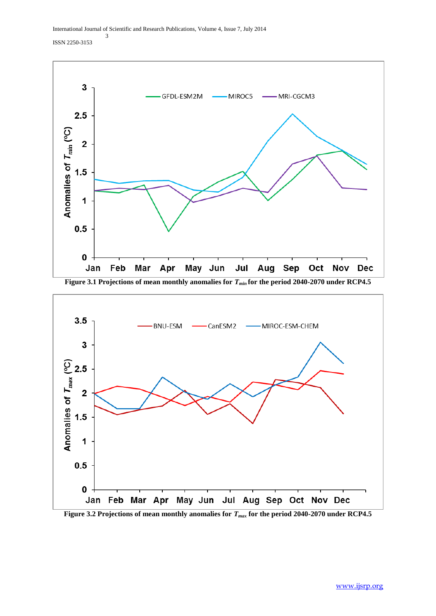

**Figure 3.1 Projections of mean monthly anomalies for** *Tmin* **for the period 2040-2070 under RCP4.5**



**Figure 3.2 Projections of mean monthly anomalies for** *Tmax* **for the period 2040-2070 under RCP4.5**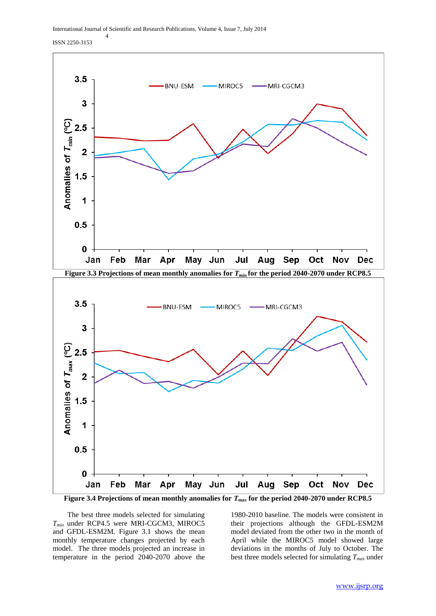ISSN 2250-3153

4



**Figure 3.4 Projections of mean monthly anomalies for** *Tmax* **for the period 2040-2070 under RCP8.5**

 The best three models selected for simulating *Tmin* under RCP4.5 were MRI-CGCM3, MIROC5 and GFDL-ESM2M. Figure 3.1 shows the mean monthly temperature changes projected by each model. The three models projected an increase in temperature in the period 2040-2070 above the

1980-2010 baseline. The models were consistent in their projections although the GFDL-ESM2M model deviated from the other two in the month of April while the MIROC5 model showed large deviations in the months of July to October. The best three models selected for simulating *Tmax* under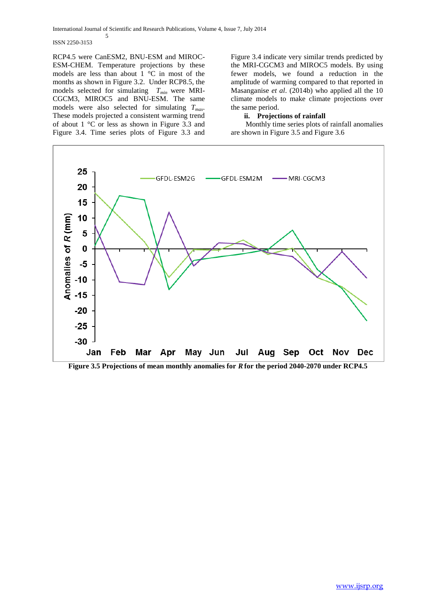ISSN 2250-3153

5

RCP4.5 were CanESM2, BNU-ESM and MIROC-ESM-CHEM. Temperature projections by these models are less than about 1 °C in most of the months as shown in Figure 3.2. Under RCP8.5, the models selected for simulating *Tmin* were MRI-CGCM3, MIROC5 and BNU-ESM. The same models were also selected for simulating *Tmax*. These models projected a consistent warming trend of about 1 °C or less as shown in Figure 3.3 and Figure 3.4. Time series plots of Figure 3.3 and

Figure 3.4 indicate very similar trends predicted by the MRI-CGCM3 and MIROC5 models. By using fewer models, we found a reduction in the amplitude of warming compared to that reported in Masanganise *et al*. (2014b) who applied all the 10 climate models to make climate projections over the same period.

## **ii. Projections of rainfall**

 Monthly time series plots of rainfall anomalies are shown in Figure 3.5 and Figure 3.6



**Figure 3.5 Projections of mean monthly anomalies for** *R***for the period 2040-2070 under RCP4.5**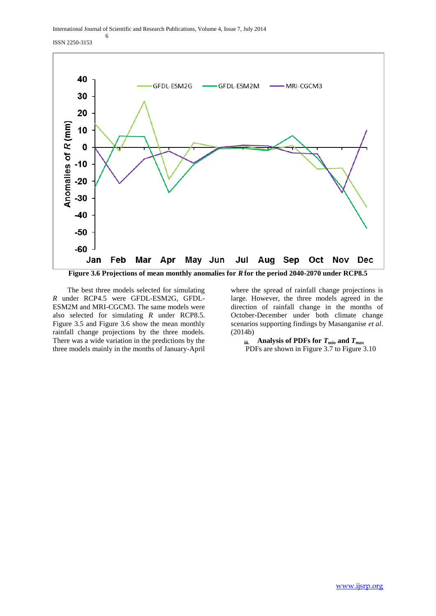ISSN 2250-3153



 The best three models selected for simulating *R* under RCP4.5 were GFDL-ESM2G, GFDL-ESM2M and MRI-CGCM3. The same models were also selected for simulating *R* under RCP8.5. Figure 3.5 and Figure 3.6 show the mean monthly rainfall change projections by the three models. There was a wide variation in the predictions by the three models mainly in the months of January-April

where the spread of rainfall change projections is large. However, the three models agreed in the direction of rainfall change in the months of October-December under both climate change scenarios supporting findings by Masanganise *et al*. (2014b)

**iii. Analysis of PDFs for** *Tmin* **and** *Tmax* PDFs are shown in Figure 3.7 to Figure 3.10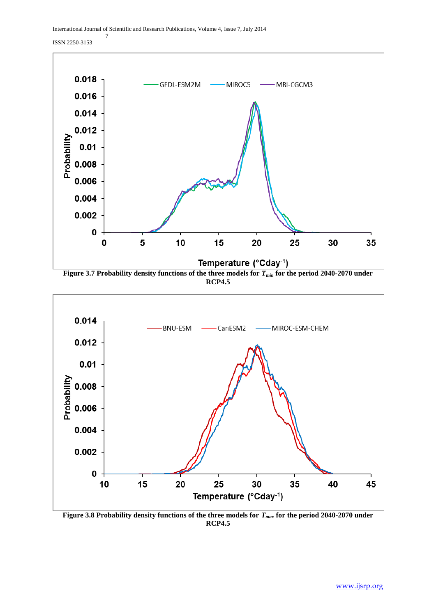ISSN 2250-3153



**RCP4.5**



**Figure 3.8 Probability density functions of the three models for** *Tmax* **for the period 2040-2070 under RCP4.5**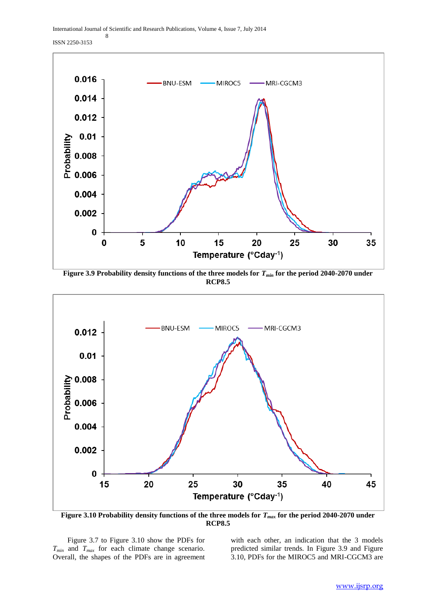ISSN 2250-3153

8



**Figure 3.9 Probability density functions of the three models for** *Tmin* **for the period 2040-2070 under RCP8.5**



**Figure 3.10 Probability density functions of the three models for** *Tmax* **for the period 2040-2070 under RCP8.5**

 Figure 3.7 to Figure 3.10 show the PDFs for *Tmin* and *Tmax* for each climate change scenario. Overall, the shapes of the PDFs are in agreement

with each other, an indication that the 3 models predicted similar trends. In Figure 3.9 and Figure 3.10, PDFs for the MIROC5 and MRI-CGCM3 are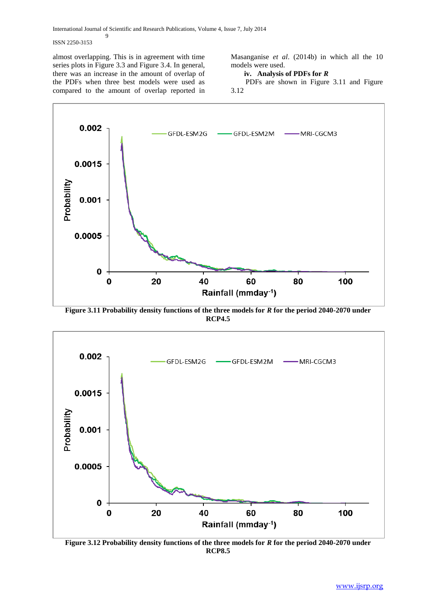## ISSN 2250-3153

almost overlapping. This is in agreement with time series plots in Figure 3.3 and Figure 3.4. In general, there was an increase in the amount of overlap of the PDFs when three best models were used as compared to the amount of overlap reported in

9

Masanganise *et al*. (2014b) in which all the 10 models were used.

## **iv. Analysis of PDFs for** *R*

 PDFs are shown in Figure 3.11 and Figure 3.12



**Figure 3.11 Probability density functions of the three models for** *R* **for the period 2040-2070 under RCP4.5**



**Figure 3.12 Probability density functions of the three models for** *R* **for the period 2040-2070 under RCP8.5**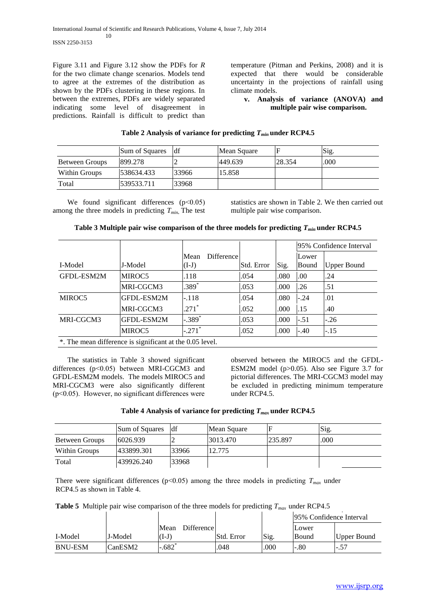Figure 3.11 and Figure 3.12 show the PDFs for *R* for the two climate change scenarios. Models tend to agree at the extremes of the distribution as shown by the PDFs clustering in these regions. In between the extremes, PDFs are widely separated indicating some level of disagreement in predictions. Rainfall is difficult to predict than

temperature (Pitman and Perkins, 2008) and it is expected that there would be considerable uncertainty in the projections of rainfall using climate models.

## **v. Analysis of variance (ANOVA) and multiple pair wise comparison.**

# **Table 2 Analysis of variance for predicting** *Tmin* **under RCP4.5**

|                | Sum of Squares | df    | Mean Square |        | Sig. |
|----------------|----------------|-------|-------------|--------|------|
| Between Groups | 899.278        |       | 449.639     | 28.354 | .000 |
| Within Groups  | 538634.433     | 33966 | 15.858      |        |      |
| Total          | 539533.711     | 33968 |             |        |      |

We found significant differences (p<0.05) among the three models in predicting *Tmin***.** The test statistics are shown in Table 2. We then carried out multiple pair wise comparison.

**Table 3 Multiple pair wise comparison of the three models for predicting** *Tmin* **under RCP4.5**

|            |                                                          |                               |            |       |                | 95% Confidence Interval |  |  |
|------------|----------------------------------------------------------|-------------------------------|------------|-------|----------------|-------------------------|--|--|
| I-Model    | J-Model                                                  | Difference<br>Mean<br>$(I-J)$ | Std. Error | Sig.  | Lower<br>Bound | <b>Upper Bound</b>      |  |  |
| GFDL-ESM2M | MIROC5                                                   | .118                          | .054       | .080  | .00            | .24                     |  |  |
|            | MRI-CGCM3                                                | $.389^{*}$                    | .053       | .000  | .26            | .51                     |  |  |
| MIROC5     | GFDL-ESM2M                                               | $-.118$                       | .054       | .080  | $-.24$         | .01                     |  |  |
|            | MRI-CGCM3                                                | $.271*$                       | .052       | .000. | .15            | .40                     |  |  |
| MRI-CGCM3  | IGFDL-ESM2M                                              | $-.389$ <sup>*</sup>          | .053       | .000. | $-.51$         | $-.26$                  |  |  |
|            | MIROC5                                                   | $-.271$ <sup>*</sup>          | .052       | .000  | $-.40$         | $-.15$                  |  |  |
|            | *. The mean difference is significant at the 0.05 level. |                               |            |       |                |                         |  |  |

 The statistics in Table 3 showed significant differences (p˂0.05) between MRI-CGCM3 and GFDL-ESM2M models. The models MIROC5 and MRI-CGCM3 were also significantly different  $(p<0.05)$ . However, no significant differences were

observed between the MIROC5 and the GFDL-ESM2M model (p>0.05). Also see Figure 3.7 for pictorial differences. The MRI-CGCM3 model may be excluded in predicting minimum temperature under RCP4.5.

## **Table 4 Analysis of variance for predicting** *Tmax* **under RCP4.5**

|                | Sum of Squares | ldf   | Mean Square |         | Sig. |
|----------------|----------------|-------|-------------|---------|------|
| Between Groups | 6026.939       |       | 3013.470    | 235.897 | .000 |
| Within Groups  | 433899.301     | 33966 | 12.775      |         |      |
| Total          | 439926.240     | 33968 |             |         |      |

There were significant differences ( $p$ <0.05) among the three models in predicting  $T_{max}$  under RCP4.5 as shown in Table 4.

**Table 5** Multiple pair wise comparison of the three models for predicting *Tmax* under RCP4.5

|                |         |                           |            |      | 195% Confidence Interval |             |
|----------------|---------|---------------------------|------------|------|--------------------------|-------------|
|                |         | <b>Difference</b><br>Mean |            |      | Lower                    |             |
| I-Model        | J-Model | $(I-I)$                   | Std. Error | Sig. | Bound                    | Upper Bound |
| <b>BNU-ESM</b> | CanESM2 | .682                      | .048       | .000 | $-.80$                   | $-.57$      |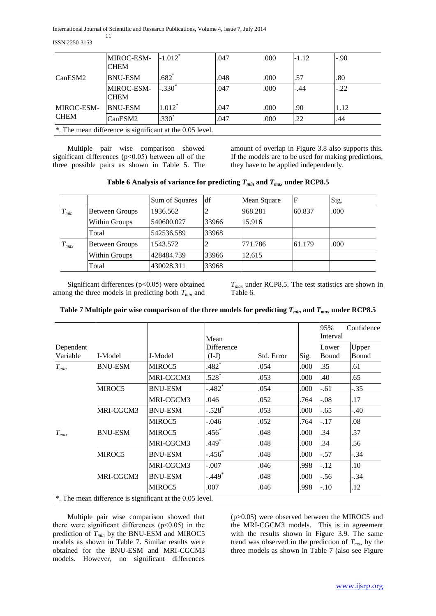ISSN 2250-3153

|                                                          | MIROC-ESM-<br><b>CHEM</b> | $-1.012^*$          | .047 | .000 | $-1.12$ | $-.90$ |
|----------------------------------------------------------|---------------------------|---------------------|------|------|---------|--------|
| CanESM2                                                  | <b>BNU-ESM</b>            | $.682$ <sup>*</sup> | .048 | .000 | .57     | .80    |
|                                                          | MIROC-ESM-<br><b>CHEM</b> | $-.330*$            | .047 | .000 | $-.44$  | $-.22$ |
| MIROC-ESM-                                               | <b>BNU-ESM</b>            | $1.012*$            | .047 | .000 | .90     | 1.12   |
| <b>CHEM</b>                                              | CanESM2                   | $.330*$             | .047 | .000 | .22     | .44    |
| *. The mean difference is significant at the 0.05 level. |                           |                     |      |      |         |        |

 Multiple pair wise comparison showed significant differences (p˂0.05) between all of the three possible pairs as shown in Table 5. The amount of overlap in Figure 3.8 also supports this. If the models are to be used for making predictions, they have to be applied independently.

# Table 6 Analysis of variance for predicting  $T_{min}$  and  $T_{max}$  under RCP8.5

|           |                       | Sum of Squares | df    | Mean Square | F      | Sig. |
|-----------|-----------------------|----------------|-------|-------------|--------|------|
| $T_{min}$ | <b>Between Groups</b> | 1936.562       |       | 968.281     | 60.837 | .000 |
|           | Within Groups         | 540600.027     | 33966 | 15.916      |        |      |
|           | Total                 | 542536.589     | 33968 |             |        |      |
| $T_{max}$ | <b>Between Groups</b> | 1543.572       |       | 771.786     | 61.179 | .000 |
|           | Within Groups         | 428484.739     | 33966 | 12.615      |        |      |
|           | Total                 | 430028.311     | 33968 |             |        |      |

 Significant differences (p˂0.05) were obtained among the three models in predicting both *Tmin* and

*Tmax* under RCP8.5. The test statistics are shown in Table 6.

|                |                |                       |            |      | 95%            | Confidence     |
|----------------|----------------|-----------------------|------------|------|----------------|----------------|
| I-Model        | J-Model        | Difference<br>$(I-J)$ | Std. Error | Sig. | Lower<br>Bound | Upper<br>Bound |
| <b>BNU-ESM</b> | MIROC5         | $.482*$               | .054       | .000 | .35            | .61            |
|                | MRI-CGCM3      | $.528*$               | .053       | .000 | .40            | .65            |
| MIROC5         | <b>BNU-ESM</b> | $-.482$ <sup>*</sup>  | .054       | .000 | -.61           | -.35           |
|                | MRI-CGCM3      | .046                  | .052       | .764 | $-.08$         | .17            |
| MRI-CGCM3      | <b>BNU-ESM</b> | $-.528*$              | .053       | .000 | $-.65$         | -.40           |
|                | MIROC5         | -.046                 | .052       | .764 | $-.17$         | .08            |
| <b>BNU-ESM</b> | MIROC5         | $.456*$               | .048       | .000 | .34            | .57            |
|                | MRI-CGCM3      | $.449*$               | .048       | .000 | .34            | .56            |
| MIROC5         | <b>BNU-ESM</b> | $-.456$ *             | .048       | .000 | $-.57$         | -.34           |
|                | MRI-CGCM3      | $-.007$               | .046       | .998 | $-12$          | .10            |
| MRI-CGCM3      | <b>BNU-ESM</b> | $-.449$ <sup>*</sup>  | .048       | .000 | $-.56$         | -.34           |
|                | MIROC5         | .007                  | .046       | .998 | $-.10$         | .12            |
|                |                |                       | Mean       |      |                | Interval       |

**Table 7 Multiple pair wise comparison of the three models for predicting**  $T_{min}$  **and**  $T_{max}$  **under RCP8.5** 

\*. The mean difference is significant at the 0.05 level.

 Multiple pair wise comparison showed that there were significant differences  $(p<0.05)$  in the prediction of *Tmin* by the BNU-ESM and MIROC5 models as shown in Table 7. Similar results were obtained for the BNU-ESM and MRI-CGCM3 models. However, no significant differences

(p>0.05) were observed between the MIROC5 and the MRI-CGCM3 models. This is in agreement with the results shown in Figure 3.9. The same trend was observed in the prediction of *Tmax* by the three models as shown in Table 7 (also see Figure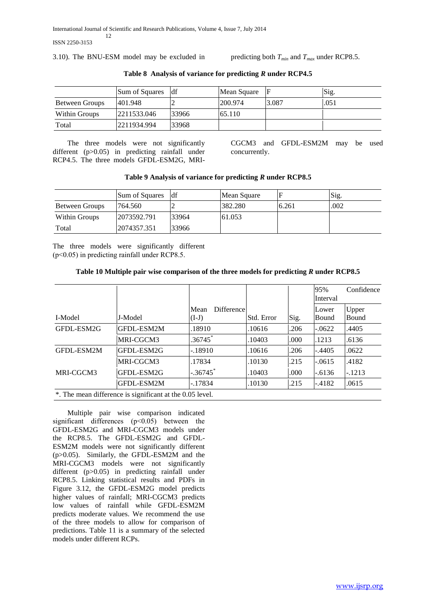3.10). The BNU-ESM model may be excluded in predicting both  $T_{min}$  and  $T_{max}$  under RCP8.5.

|                | Sum of Squares | df    | Mean Square |       | Sig. |
|----------------|----------------|-------|-------------|-------|------|
| Between Groups | 401.948        |       | 200.974     | 3.087 | .051 |
| Within Groups  | 2211533.046    | 33966 | 65.110      |       |      |
| Total          | 2211934.994    | 33968 |             |       |      |

**Table 8 Analysis of variance for predicting** *R* **under RCP4.5**

 The three models were not significantly different (p>0.05) in predicting rainfall under RCP4.5. The three models GFDL-ESM2G, MRI-

CGCM3 and GFDL-ESM2M may be used concurrently.

# **Table 9 Analysis of variance for predicting** *R* **under RCP8.5**

|                | Sum of Squares | df    | Mean Square |       | Sig. |
|----------------|----------------|-------|-------------|-------|------|
| Between Groups | 764.560        |       | 382.280     | 6.261 | .002 |
| Within Groups  | 2073592.791    | 33964 | 61.053      |       |      |
| Total          | 2074357.351    | 33966 |             |       |      |

The three models were significantly different (p˂0.05) in predicting rainfall under RCP8.5.

# **Table 10 Multiple pair wise comparison of the three models for predicting** *R* **under RCP8.5**

|            |                                                          |                               |            |      | 95%<br>Interval | Confidence     |
|------------|----------------------------------------------------------|-------------------------------|------------|------|-----------------|----------------|
| I-Model    | J-Model                                                  | Difference<br>Mean<br>$(I-J)$ | Std. Error | Sig. | Lower<br>Bound  | Upper<br>Bound |
| GFDL-ESM2G | GFDL-ESM2M                                               | .18910                        | .10616     | .206 | $-.0622$        | .4405          |
|            | MRI-CGCM3                                                | .36745                        | .10403     | .000 | .1213           | .6136          |
| GFDL-ESM2M | GFDL-ESM2G                                               | $-.18910$                     | .10616     | .206 | $-.4405$        | .0622          |
|            | MRI-CGCM3                                                | .17834                        | .10130     | .215 | $-.0615$        | .4182          |
| MRI-CGCM3  | GFDL-ESM2G                                               | $-.36745$                     | 10403      | .000 | $-.6136$        | $-.1213$       |
|            | GFDL-ESM2M                                               | $-.17834$                     | .10130     | .215 | $-.4182$        | .0615          |
|            | *. The mean difference is significant at the 0.05 level. |                               |            |      |                 |                |

 Multiple pair wise comparison indicated significant differences  $(p<0.05)$  between the GFDL-ESM2G and MRI-CGCM3 models under the RCP8.5. The GFDL-ESM2G and GFDL-ESM2M models were not significantly different (p>0.05). Similarly, the GFDL-ESM2M and the MRI-CGCM3 models were not significantly different (p>0.05) in predicting rainfall under RCP8.5. Linking statistical results and PDFs in Figure 3.12, the GFDL-ESM2G model predicts higher values of rainfall; MRI-CGCM3 predicts low values of rainfall while GFDL-ESM2M predicts moderate values. We recommend the use of the three models to allow for comparison of predictions. Table 11 is a summary of the selected models under different RCPs.